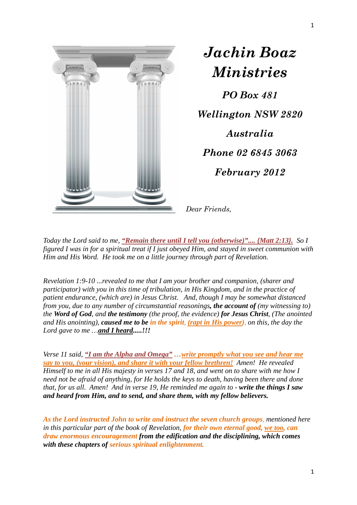

*Jachin Boaz Ministries PO Box 481 Wellington NSW 2820 Australia Phone 02 6845 3063 February 2012* 

*Dear Friends,* 

*Today the Lord said to me, "Remain there until I tell you (otherwise)".... {Matt 2:13}. So I figured I was in for a spiritual treat if I just obeyed Him, and stayed in sweet communion with Him and His Word. He took me on a little journey through part of Revelation.*

*Revelation 1:9-10 ...revealed to me that I am your brother and companion, (sharer and participator) with you in this time of tribulation, in His Kingdom, and in the practice of patient endurance, (which are) in Jesus Christ. And, though I may be somewhat distanced from you, due to any number of circumstantial reasonings, the account of (my witnessing to) the Word of God, and the testimony (the proof, the evidence) for Jesus Christ, (The anointed and His anointing), caused me to be in the spirit, (rapt in His power), on this, the day the Lord gave to me …and I heard.....!!!*

*Verse 11 said, "I am the Alpha and Omega" …write promptly what you see and hear me say to you, (your vision), and share it with your fellow brethren! Amen! He revealed Himself to me in all His majesty in verses 17 and 18, and went on to share with me how I need not be afraid of anything, for He holds the keys to death, having been there and done that, for us all. Amen! And in verse 19, He reminded me again to - write the things I saw and heard from Him, and to send, and share them, with my fellow believers.*

*As the Lord instructed John to write and instruct the seven church groups, mentioned here in this particular part of the book of Revelation, for their own eternal good, we too, can draw enormous encouragement from the edification and the disciplining, which comes with these chapters of serious spiritual enlightenment.*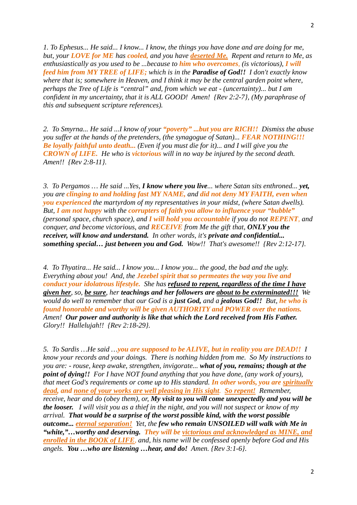*1. To Ephesus... He said... I know... I know, the things you have done and are doing for me, but, your LOVE for ME has cooled, and you have deserted Me. Repent and return to Me, as enthusiastically as you used to be ...because to him who overcomes, (is victorious), I will feed him from MY TREE of LIFE; which is in the Paradise of God!! I don't exactly know where that is; somewhere in Heaven, and I think it may be the central garden point where, perhaps the Tree of Life is "central" and, from which we eat - (uncertainty)... but I am confident in my uncertainty, that it is ALL GOOD! Amen! {Rev 2:2-7}, (My paraphrase of this and subsequent scripture references).*

*2. To Smyrna... He said ...I know of your "poverty" ...but you are RICH!! Dismiss the abuse you suffer at the hands of the pretenders, (the synagogue of Satan)... <i>FEAR NOTHING!!! Be loyally faithful unto death... (Even if you must die for it)... and I will give you the CROWN of LIFE. He who is victorious will in no way be injured by the second death. Amen!! {Rev 2:8-11}.*

*3. To Pergamos … He said ...Yes, I know where you live... where Satan sits enthroned... yet, you are clinging to and holding fast MY NAME, and did not deny MY FAITH, even when you experienced the martyrdom of my representatives in your midst, (where Satan dwells). But, I am not happy with the corrupters of faith you allow to influence your "bubble" (personal space, church space), and I will hold you accountable if you do not REPENT, and conquer, and become victorious, and RECEIVE from Me the gift that, ONLY you the receiver, will know and understand. In other words, it's private and confidential... something special… just between you and God. Wow!! That's awesome!! {Rev 2:12-17}.* 

*4. To Thyatira... He said... I know you... I know you... the good, the bad and the ugly. Everything about you! And, the Jezebel spirit that so permeates the way you live and conduct your idolatrous lifestyle. She has refused to repent, regardless of the time I have given her, so, be sure, her teachings and her followers are about to be exterminated!!! We would do well to remember that our God is a just God, and a jealous God!! But, he who is found honorable and worthy will be given AUTHORITY and POWER over the nations. Amen! Our power and authority is like that which the Lord received from His Father. Glory!! Hallelujah!! {Rev 2:18-29}.*

*5. To Sardis …He said …you are supposed to be ALIVE, but in reality you are DEAD!! I know your records and your doings. There is nothing hidden from me. So My instructions to you are: - rouse, keep awake, strengthen, invigorate... what of you, remains; though at the point of dying!! For I have NOT found anything that you have done, (any work of yours), that meet God's requirements or come up to His standard. In other words, you are spiritually dead, and none of your works are well pleasing in His sight. So repent! Remember, receive, hear and do (obey them), or, My visit to you will come unexpectedly and you will be the looser. I will visit you as a thief in the night, and you will not suspect or know of my arrival. That would be a surprise of the worst possible kind, with the worst possible outcome... eternal separation! Yet, the few who remain UNSOILED will walk with Me in "white,"…worthy and deserving. They will be victorious and acknowledged as MINE, and enrolled in the BOOK of LIFE, and, his name will be confessed openly before God and His angels. You …who are listening …hear, and do! Amen. {Rev 3:1-6}.*